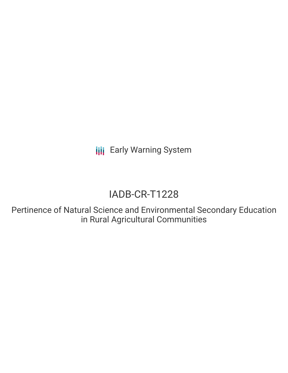**III** Early Warning System

# IADB-CR-T1228

Pertinence of Natural Science and Environmental Secondary Education in Rural Agricultural Communities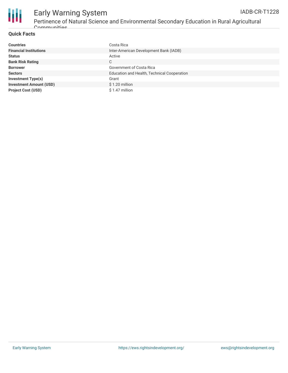



# Early Warning System Pertinence of Natural Science and Environmental Secondary Education in Rural Agricultural Communities

## **Quick Facts**

| <b>Countries</b>               | Costa Rica                                  |
|--------------------------------|---------------------------------------------|
| <b>Financial Institutions</b>  | Inter-American Development Bank (IADB)      |
| <b>Status</b>                  | Active                                      |
| <b>Bank Risk Rating</b>        | C                                           |
| <b>Borrower</b>                | Government of Costa Rica                    |
| <b>Sectors</b>                 | Education and Health, Technical Cooperation |
| <b>Investment Type(s)</b>      | Grant                                       |
| <b>Investment Amount (USD)</b> | \$1.20 million                              |
| <b>Project Cost (USD)</b>      | \$1.47 million                              |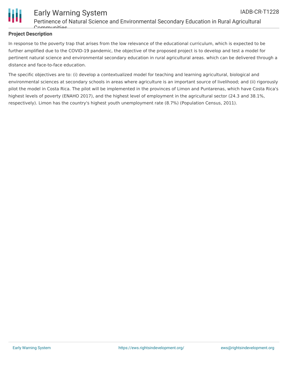

# **Project Description**

In response to the poverty trap that arises from the low relevance of the educational curriculum, which is expected to be further amplified due to the COVID-19 pandemic, the objective of the proposed project is to develop and test a model for pertinent natural science and environmental secondary education in rural agricultural areas. which can be delivered through a distance and face-to-face education.

The specific objectives are to: (i) develop a contextualized model for teaching and learning agricultural, biological and environmental sciences at secondary schools in areas where agriculture is an important source of livelihood; and (ii) rigorously pilot the model in Costa Rica. The pilot will be implemented in the provinces of Limon and Puntarenas, which have Costa Rica's highest levels of poverty (ENAHO 2017), and the highest level of employment in the agricultural sector (24.3 and 38.1%, respectively). Limon has the country's highest youth unemployment rate (8.7%) (Population Census, 2011).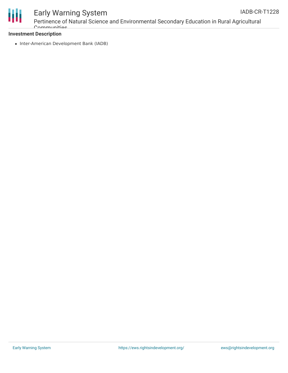

#### Early Warning System Pertinence of Natural Science and Environmental Secondary Education in Rural Agricultural Communities IADB-CR-T1228

## **Investment Description**

• Inter-American Development Bank (IADB)